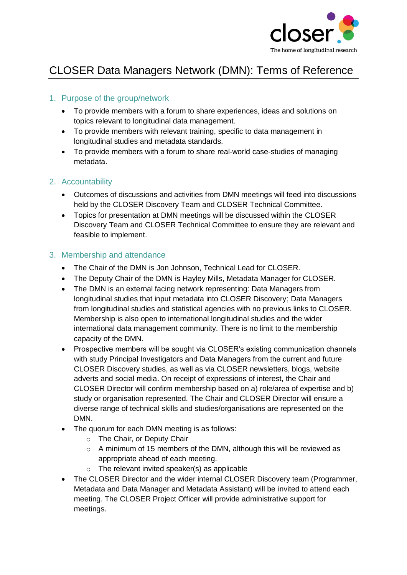

# CLOSER Data Managers Network (DMN): Terms of Reference

## 1. Purpose of the group/network

- To provide members with a forum to share experiences, ideas and solutions on topics relevant to longitudinal data management.
- To provide members with relevant training, specific to data management in longitudinal studies and metadata standards.
- To provide members with a forum to share real-world case-studies of managing metadata.

#### 2. Accountability

- Outcomes of discussions and activities from DMN meetings will feed into discussions held by the CLOSER Discovery Team and CLOSER Technical Committee.
- Topics for presentation at DMN meetings will be discussed within the CLOSER Discovery Team and CLOSER Technical Committee to ensure they are relevant and feasible to implement.

#### 3. Membership and attendance

- The Chair of the DMN is Jon Johnson, Technical Lead for CLOSER.
- The Deputy Chair of the DMN is Hayley Mills, Metadata Manager for CLOSER.
- The DMN is an external facing network representing: Data Managers from longitudinal studies that input metadata into CLOSER Discovery; Data Managers from longitudinal studies and statistical agencies with no previous links to CLOSER. Membership is also open to international longitudinal studies and the wider international data management community. There is no limit to the membership capacity of the DMN.
- Prospective members will be sought via CLOSER's existing communication channels with study Principal Investigators and Data Managers from the current and future CLOSER Discovery studies, as well as via CLOSER newsletters, blogs, website adverts and social media. On receipt of expressions of interest, the Chair and CLOSER Director will confirm membership based on a) role/area of expertise and b) study or organisation represented. The Chair and CLOSER Director will ensure a diverse range of technical skills and studies/organisations are represented on the DMN.
- The quorum for each DMN meeting is as follows:
	- o The Chair, or Deputy Chair
	- o A minimum of 15 members of the DMN, although this will be reviewed as appropriate ahead of each meeting.
	- $\circ$  The relevant invited speaker(s) as applicable
- The CLOSER Director and the wider internal CLOSER Discovery team (Programmer, Metadata and Data Manager and Metadata Assistant) will be invited to attend each meeting. The CLOSER Project Officer will provide administrative support for meetings.